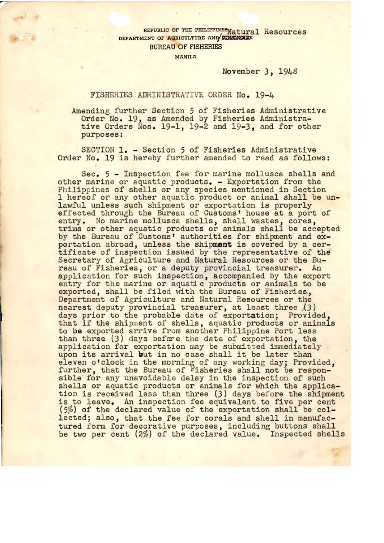## REPUBLIC OF THE PHILIPPINES Natural Resources DEPARTMENT OF AGRICULTURE AND **KOMMERCE BUREAU OF FISHERIES**

**MANILA** 

November 3, 194

## FISHERIES ADMINISTRATIVE ORDER No. 19-4

Amending further Section 5 of Fisheries Administrative Order No. 19, as Amended by Fisheries Administrative Orders Nos. 19-1, 19-2 and 19-3, and for other purposes:

SECTION 1. - Section 5 of Fisheries Administrative Order No. 19 is hereby further amended to read as follows:

Sec. 5 - Inspection fee for marine mollusca shells and other marine or aquatic products. - Exportation from the Philippines of shells or any species mentioned in Section 1 hereof or any other aquatic product or animal shall be unlawful unless such shipment or exportation is properly effected through the Bureau of Customs' house at a port of entry. No marine mollusca shells, shell wastes, cores, trims or other aquatic products or animals shall be accepted by the Bureau of Customs' authorities for shipment and exportation abroad, unless the shipment is covered by a certificate of inspection issued by the representative of the Secretary of Agriculture and Natural Resources or the Bureau of Fisheries, or a deputy provincial treasurer. An application for such inspection, accompanied by the export entry for the marine or aquatic products or animals to be exported, shall be filed with the Bureau of Fisheries, Department of Agriculture and Natural Resources or the nearest deputy provincial treasurer, at least three (3) days prior to the probable date of exportation; Provided, that if the shipment of shells, aquatic products or animals to be exported arrive from another Philippine Port less than three (3) days before the date of exportation, the application for exportation may be submitted immediately upon its arrival but in no case shall it be later than eleven o'clock in the morning of any working day; Provided, further, that the Bureau of Fisheries shall not be responsible for any unavoidable delay in the inspection of such shells or aquatic products or animals for which the application is received less than three (3) days before the shipment is to leave. An inspection fee equivalent to five per cent (5%) of the declared value of the exportation shall be collected; also, that the fee for corals and shell in manufactured form for decorative purposes, including buttons shall be two per cent (2%) of the declared value. Inspected shells